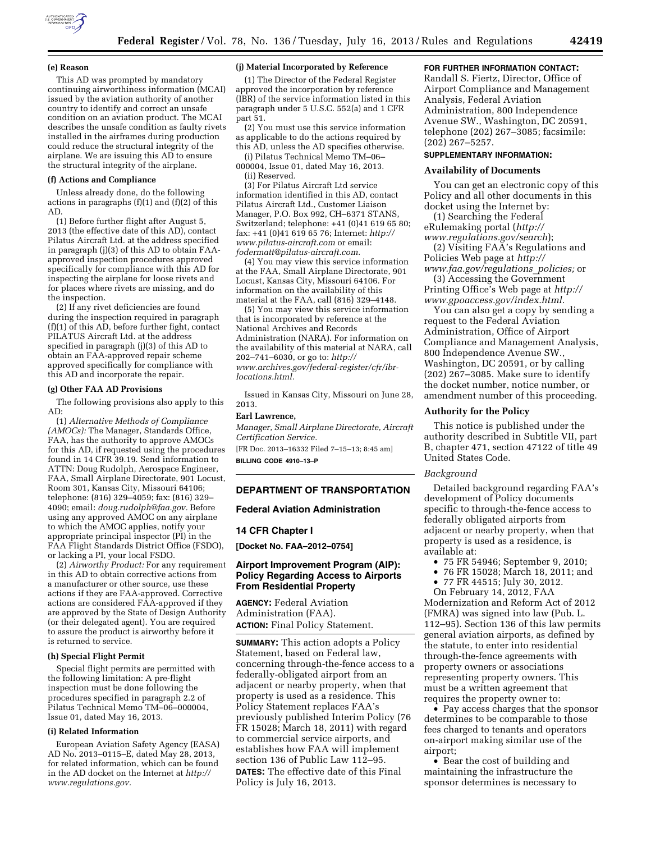

#### **(e) Reason**

This AD was prompted by mandatory continuing airworthiness information (MCAI) issued by the aviation authority of another country to identify and correct an unsafe condition on an aviation product. The MCAI describes the unsafe condition as faulty rivets installed in the airframes during production could reduce the structural integrity of the airplane. We are issuing this AD to ensure the structural integrity of the airplane.

### **(f) Actions and Compliance**

Unless already done, do the following actions in paragraphs  $(f)(1)$  and  $(f)(2)$  of this AD.

(1) Before further flight after August 5, 2013 (the effective date of this AD), contact Pilatus Aircraft Ltd. at the address specified in paragraph (j)(3) of this AD to obtain FAAapproved inspection procedures approved specifically for compliance with this AD for inspecting the airplane for loose rivets and for places where rivets are missing, and do the inspection.

(2) If any rivet deficiencies are found during the inspection required in paragraph (f)(1) of this AD, before further fight, contact PILATUS Aircraft Ltd. at the address specified in paragraph (j)(3) of this AD to obtain an FAA-approved repair scheme approved specifically for compliance with this AD and incorporate the repair.

#### **(g) Other FAA AD Provisions**

The following provisions also apply to this AD:

(1) *Alternative Methods of Compliance (AMOCs):* The Manager, Standards Office, FAA, has the authority to approve AMOCs for this AD, if requested using the procedures found in 14 CFR 39.19. Send information to ATTN: Doug Rudolph, Aerospace Engineer, FAA, Small Airplane Directorate, 901 Locust, Room 301, Kansas City, Missouri 64106; telephone: (816) 329–4059; fax: (816) 329– 4090; email: *[doug.rudolph@faa.gov.](mailto:doug.rudolph@faa.gov)* Before using any approved AMOC on any airplane to which the AMOC applies, notify your appropriate principal inspector (PI) in the FAA Flight Standards District Office (FSDO), or lacking a PI, your local FSDO.

(2) *Airworthy Product:* For any requirement in this AD to obtain corrective actions from a manufacturer or other source, use these actions if they are FAA-approved. Corrective actions are considered FAA-approved if they are approved by the State of Design Authority (or their delegated agent). You are required to assure the product is airworthy before it is returned to service.

#### **(h) Special Flight Permit**

Special flight permits are permitted with the following limitation: A pre-flight inspection must be done following the procedures specified in paragraph 2.2 of Pilatus Technical Memo TM–06–000004, Issue 01, dated May 16, 2013.

#### **(i) Related Information**

European Aviation Safety Agency (EASA) AD No. 2013–0115–E, dated May 28, 2013, for related information, which can be found in the AD docket on the Internet at *[http://](http://www.regulations.gov) [www.regulations.gov.](http://www.regulations.gov)* 

#### **(j) Material Incorporated by Reference**

(1) The Director of the Federal Register approved the incorporation by reference (IBR) of the service information listed in this paragraph under 5 U.S.C. 552(a) and 1 CFR part 51.

(2) You must use this service information as applicable to do the actions required by this AD, unless the AD specifies otherwise.

(i) Pilatus Technical Memo TM–06– 000004, Issue 01, dated May 16, 2013.

(ii) Reserved.

(3) For Pilatus Aircraft Ltd service information identified in this AD, contact Pilatus Aircraft Ltd., Customer Liaison Manager, P.O. Box 992, CH–6371 STANS, Switzerland; telephone: +41 (0)41 619 65 80; fax: +41 (0)41 619 65 76; Internet: *[http://](http://www.pilatus-aircraft.com) [www.pilatus-aircraft.com](http://www.pilatus-aircraft.com)* or email: *[fodermatt@pilatus-aircraft.com.](mailto:fodermatt@pilatus-aircraft.com)* 

(4) You may view this service information at the FAA, Small Airplane Directorate, 901 Locust, Kansas City, Missouri 64106. For information on the availability of this material at the FAA, call (816) 329–4148.

(5) You may view this service information that is incorporated by reference at the National Archives and Records Administration (NARA). For information on the availability of this material at NARA, call 202–741–6030, or go to: *[http://](http://www.archives.gov/federal-register/cfr/ibr-locations.html) [www.archives.gov/federal-register/cfr/ibr](http://www.archives.gov/federal-register/cfr/ibr-locations.html)[locations.html.](http://www.archives.gov/federal-register/cfr/ibr-locations.html)* 

Issued in Kansas City, Missouri on June 28, 2013.

## **Earl Lawrence,**

*Manager, Small Airplane Directorate, Aircraft Certification Service.* 

[FR Doc. 2013–16332 Filed 7–15–13; 8:45 am] **BILLING CODE 4910–13–P** 

#### **DEPARTMENT OF TRANSPORTATION**

#### **Federal Aviation Administration**

#### **14 CFR Chapter I**

**[Docket No. FAA–2012–0754]** 

# **Airport Improvement Program (AIP): Policy Regarding Access to Airports From Residential Property**

**AGENCY:** Federal Aviation Administration (FAA). **ACTION:** Final Policy Statement.

**SUMMARY:** This action adopts a Policy Statement, based on Federal law, concerning through-the-fence access to a federally-obligated airport from an adjacent or nearby property, when that property is used as a residence. This Policy Statement replaces FAA's previously published Interim Policy (76 FR 15028; March 18, 2011) with regard to commercial service airports, and establishes how FAA will implement section 136 of Public Law 112–95. **DATES:** The effective date of this Final Policy is July 16, 2013.

# **FOR FURTHER INFORMATION CONTACT:**

Randall S. Fiertz, Director, Office of Airport Compliance and Management Analysis, Federal Aviation Administration, 800 Independence Avenue SW., Washington, DC 20591, telephone (202) 267–3085; facsimile: (202) 267–5257.

# **SUPPLEMENTARY INFORMATION:**

### **Availability of Documents**

You can get an electronic copy of this Policy and all other documents in this docket using the Internet by:

(1) Searching the Federal eRulemaking portal (*[http://](http://www.regulations.gov/search)  [www.regulations.gov/search](http://www.regulations.gov/search)*);

(2) Visiting FAA's Regulations and Policies Web page at *[http://](http://www.faa.gov/regulations_policies)  [www.faa.gov/regulations](http://www.faa.gov/regulations_policies)*\_*policies;* or

(3) Accessing the Government Printing Office's Web page at *[http://](http://www.gpoaccess.gov/index.html)* 

*[www.gpoaccess.gov/index.html.](http://www.gpoaccess.gov/index.html)*  You can also get a copy by sending a

request to the Federal Aviation Administration, Office of Airport Compliance and Management Analysis, 800 Independence Avenue SW., Washington, DC 20591, or by calling (202) 267–3085. Make sure to identify the docket number, notice number, or amendment number of this proceeding.

#### **Authority for the Policy**

This notice is published under the authority described in Subtitle VII, part B, chapter 471, section 47122 of title 49 United States Code.

#### *Background*

Detailed background regarding FAA's development of Policy documents specific to through-the-fence access to federally obligated airports from adjacent or nearby property, when that property is used as a residence, is available at:

- 75 FR 54946; September 9, 2010;
- 76 FR 15028; March 18, 2011; and
- 77 FR 44515; July 30, 2012.

On February 14, 2012, FAA Modernization and Reform Act of 2012 (FMRA) was signed into law (Pub. L. 112–95). Section 136 of this law permits general aviation airports, as defined by the statute, to enter into residential through-the-fence agreements with property owners or associations representing property owners. This must be a written agreement that requires the property owner to:

• Pay access charges that the sponsor determines to be comparable to those fees charged to tenants and operators on-airport making similar use of the airport;

• Bear the cost of building and maintaining the infrastructure the sponsor determines is necessary to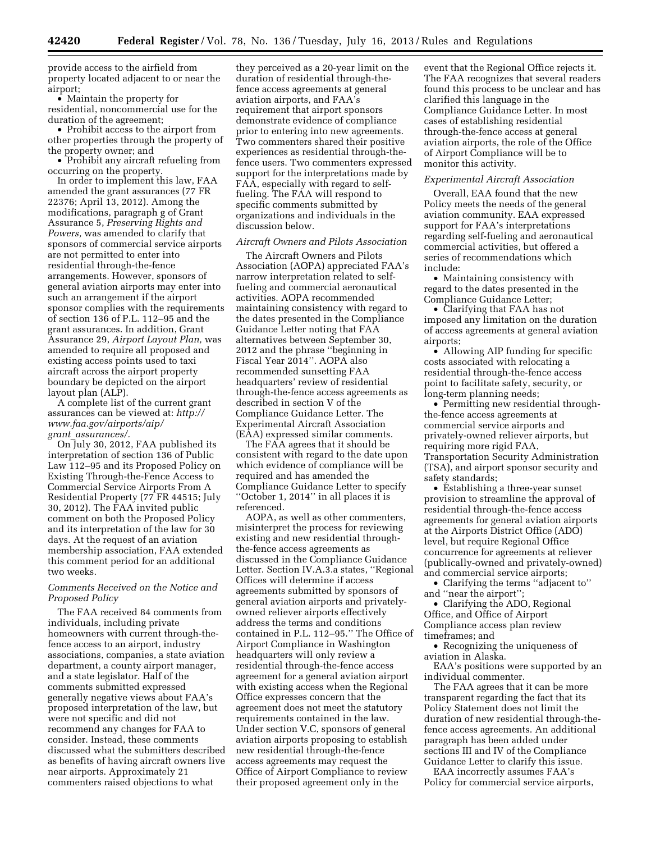provide access to the airfield from property located adjacent to or near the airport;

• Maintain the property for residential, noncommercial use for the duration of the agreement;

• Prohibit access to the airport from other properties through the property of the property owner; and

• Prohibit any aircraft refueling from occurring on the property.

In order to implement this law, FAA amended the grant assurances (77 FR 22376; April 13, 2012). Among the modifications, paragraph g of Grant Assurance 5, *Preserving Rights and Powers,* was amended to clarify that sponsors of commercial service airports are not permitted to enter into residential through-the-fence arrangements. However, sponsors of general aviation airports may enter into such an arrangement if the airport sponsor complies with the requirements of section 136 of P.L. 112–95 and the grant assurances. In addition, Grant Assurance 29, *Airport Layout Plan,* was amended to require all proposed and existing access points used to taxi aircraft across the airport property boundary be depicted on the airport layout plan (ALP).

A complete list of the current grant assurances can be viewed at: *[http://](http://www.faa.gov/airports/aip/grant_assurances/) [www.faa.gov/airports/aip/](http://www.faa.gov/airports/aip/grant_assurances/)  grant*\_*[assurances/.](http://www.faa.gov/airports/aip/grant_assurances/)* 

On July 30, 2012, FAA published its interpretation of section 136 of Public Law 112–95 and its Proposed Policy on Existing Through-the-Fence Access to Commercial Service Airports From A Residential Property (77 FR 44515; July 30, 2012). The FAA invited public comment on both the Proposed Policy and its interpretation of the law for 30 days. At the request of an aviation membership association, FAA extended this comment period for an additional two weeks.

# *Comments Received on the Notice and Proposed Policy*

The FAA received 84 comments from individuals, including private homeowners with current through-thefence access to an airport, industry associations, companies, a state aviation department, a county airport manager, and a state legislator. Half of the comments submitted expressed generally negative views about FAA's proposed interpretation of the law, but were not specific and did not recommend any changes for FAA to consider. Instead, these comments discussed what the submitters described as benefits of having aircraft owners live near airports. Approximately 21 commenters raised objections to what

they perceived as a 20-year limit on the duration of residential through-thefence access agreements at general aviation airports, and FAA's requirement that airport sponsors demonstrate evidence of compliance prior to entering into new agreements. Two commenters shared their positive experiences as residential through-thefence users. Two commenters expressed support for the interpretations made by FAA, especially with regard to selffueling. The FAA will respond to specific comments submitted by organizations and individuals in the discussion below.

#### *Aircraft Owners and Pilots Association*

The Aircraft Owners and Pilots Association (AOPA) appreciated FAA's narrow interpretation related to selffueling and commercial aeronautical activities. AOPA recommended maintaining consistency with regard to the dates presented in the Compliance Guidance Letter noting that FAA alternatives between September 30, 2012 and the phrase ''beginning in Fiscal Year 2014''. AOPA also recommended sunsetting FAA headquarters' review of residential through-the-fence access agreements as described in section V of the Compliance Guidance Letter. The Experimental Aircraft Association (EAA) expressed similar comments.

The FAA agrees that it should be consistent with regard to the date upon which evidence of compliance will be required and has amended the Compliance Guidance Letter to specify ''October 1, 2014'' in all places it is referenced.

AOPA, as well as other commenters, misinterpret the process for reviewing existing and new residential throughthe-fence access agreements as discussed in the Compliance Guidance Letter. Section IV.A.3.a states, ''Regional Offices will determine if access agreements submitted by sponsors of general aviation airports and privatelyowned reliever airports effectively address the terms and conditions contained in P.L. 112–95.'' The Office of Airport Compliance in Washington headquarters will only review a residential through-the-fence access agreement for a general aviation airport with existing access when the Regional Office expresses concern that the agreement does not meet the statutory requirements contained in the law. Under section V.C, sponsors of general aviation airports proposing to establish new residential through-the-fence access agreements may request the Office of Airport Compliance to review their proposed agreement only in the

event that the Regional Office rejects it. The FAA recognizes that several readers found this process to be unclear and has clarified this language in the Compliance Guidance Letter. In most cases of establishing residential through-the-fence access at general aviation airports, the role of the Office of Airport Compliance will be to monitor this activity.

### *Experimental Aircraft Association*

Overall, EAA found that the new Policy meets the needs of the general aviation community. EAA expressed support for FAA's interpretations regarding self-fueling and aeronautical commercial activities, but offered a series of recommendations which include:

• Maintaining consistency with regard to the dates presented in the Compliance Guidance Letter;

• Clarifying that FAA has not imposed any limitation on the duration of access agreements at general aviation airports;

• Allowing AIP funding for specific costs associated with relocating a residential through-the-fence access point to facilitate safety, security, or long-term planning needs;

• Permitting new residential throughthe-fence access agreements at commercial service airports and privately-owned reliever airports, but requiring more rigid FAA, Transportation Security Administration (TSA), and airport sponsor security and safety standards;

• Establishing a three-year sunset provision to streamline the approval of residential through-the-fence access agreements for general aviation airports at the Airports District Office (ADO) level, but require Regional Office concurrence for agreements at reliever (publically-owned and privately-owned) and commercial service airports;

• Clarifying the terms ''adjacent to'' and ''near the airport'';

• Clarifying the ADO, Regional Office, and Office of Airport Compliance access plan review timeframes; and

• Recognizing the uniqueness of aviation in Alaska.

EAA's positions were supported by an individual commenter.

The FAA agrees that it can be more transparent regarding the fact that its Policy Statement does not limit the duration of new residential through-thefence access agreements. An additional paragraph has been added under sections III and IV of the Compliance Guidance Letter to clarify this issue.

EAA incorrectly assumes FAA's Policy for commercial service airports,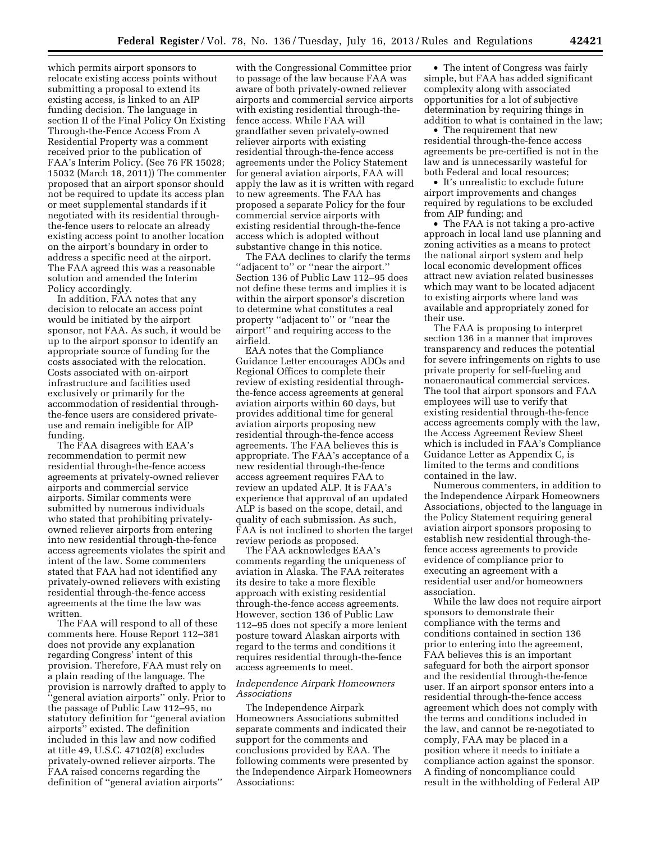which permits airport sponsors to relocate existing access points without submitting a proposal to extend its existing access, is linked to an AIP funding decision. The language in section II of the Final Policy On Existing Through-the-Fence Access From A Residential Property was a comment received prior to the publication of FAA's Interim Policy. (See 76 FR 15028; 15032 (March 18, 2011)) The commenter proposed that an airport sponsor should not be required to update its access plan or meet supplemental standards if it negotiated with its residential throughthe-fence users to relocate an already existing access point to another location on the airport's boundary in order to address a specific need at the airport. The FAA agreed this was a reasonable solution and amended the Interim Policy accordingly.

In addition, FAA notes that any decision to relocate an access point would be initiated by the airport sponsor, not FAA. As such, it would be up to the airport sponsor to identify an appropriate source of funding for the costs associated with the relocation. Costs associated with on-airport infrastructure and facilities used exclusively or primarily for the accommodation of residential throughthe-fence users are considered privateuse and remain ineligible for AIP funding.

The FAA disagrees with EAA's recommendation to permit new residential through-the-fence access agreements at privately-owned reliever airports and commercial service airports. Similar comments were submitted by numerous individuals who stated that prohibiting privatelyowned reliever airports from entering into new residential through-the-fence access agreements violates the spirit and intent of the law. Some commenters stated that FAA had not identified any privately-owned relievers with existing residential through-the-fence access agreements at the time the law was written.

The FAA will respond to all of these comments here. House Report 112–381 does not provide any explanation regarding Congress' intent of this provision. Therefore, FAA must rely on a plain reading of the language. The provision is narrowly drafted to apply to ''general aviation airports'' only. Prior to the passage of Public Law 112–95, no statutory definition for ''general aviation airports'' existed. The definition included in this law and now codified at title 49, U.S.C. 47102(8) excludes privately-owned reliever airports. The FAA raised concerns regarding the definition of ''general aviation airports''

with the Congressional Committee prior to passage of the law because FAA was aware of both privately-owned reliever airports and commercial service airports with existing residential through-thefence access. While FAA will grandfather seven privately-owned reliever airports with existing residential through-the-fence access agreements under the Policy Statement for general aviation airports, FAA will apply the law as it is written with regard to new agreements. The FAA has proposed a separate Policy for the four commercial service airports with existing residential through-the-fence access which is adopted without substantive change in this notice.

The FAA declines to clarify the terms ''adjacent to'' or ''near the airport.'' Section 136 of Public Law 112–95 does not define these terms and implies it is within the airport sponsor's discretion to determine what constitutes a real property ''adjacent to'' or ''near the airport'' and requiring access to the airfield.

EAA notes that the Compliance Guidance Letter encourages ADOs and Regional Offices to complete their review of existing residential throughthe-fence access agreements at general aviation airports within 60 days, but provides additional time for general aviation airports proposing new residential through-the-fence access agreements. The FAA believes this is appropriate. The FAA's acceptance of a new residential through-the-fence access agreement requires FAA to review an updated ALP. It is FAA's experience that approval of an updated ALP is based on the scope, detail, and quality of each submission. As such, FAA is not inclined to shorten the target review periods as proposed.

The FAA acknowledges EAA's comments regarding the uniqueness of aviation in Alaska. The FAA reiterates its desire to take a more flexible approach with existing residential through-the-fence access agreements. However, section 136 of Public Law 112–95 does not specify a more lenient posture toward Alaskan airports with regard to the terms and conditions it requires residential through-the-fence access agreements to meet.

#### *Independence Airpark Homeowners Associations*

The Independence Airpark Homeowners Associations submitted separate comments and indicated their support for the comments and conclusions provided by EAA. The following comments were presented by the Independence Airpark Homeowners Associations:

• The intent of Congress was fairly simple, but FAA has added significant complexity along with associated opportunities for a lot of subjective determination by requiring things in addition to what is contained in the law;

• The requirement that new residential through-the-fence access agreements be pre-certified is not in the law and is unnecessarily wasteful for both Federal and local resources;

• It's unrealistic to exclude future airport improvements and changes required by regulations to be excluded from AIP funding; and

• The FAA is not taking a pro-active approach in local land use planning and zoning activities as a means to protect the national airport system and help local economic development offices attract new aviation related businesses which may want to be located adjacent to existing airports where land was available and appropriately zoned for their use.

The FAA is proposing to interpret section 136 in a manner that improves transparency and reduces the potential for severe infringements on rights to use private property for self-fueling and nonaeronautical commercial services. The tool that airport sponsors and FAA employees will use to verify that existing residential through-the-fence access agreements comply with the law, the Access Agreement Review Sheet which is included in FAA's Compliance Guidance Letter as Appendix C, is limited to the terms and conditions contained in the law.

Numerous commenters, in addition to the Independence Airpark Homeowners Associations, objected to the language in the Policy Statement requiring general aviation airport sponsors proposing to establish new residential through-thefence access agreements to provide evidence of compliance prior to executing an agreement with a residential user and/or homeowners association.

While the law does not require airport sponsors to demonstrate their compliance with the terms and conditions contained in section 136 prior to entering into the agreement, FAA believes this is an important safeguard for both the airport sponsor and the residential through-the-fence user. If an airport sponsor enters into a residential through-the-fence access agreement which does not comply with the terms and conditions included in the law, and cannot be re-negotiated to comply, FAA may be placed in a position where it needs to initiate a compliance action against the sponsor. A finding of noncompliance could result in the withholding of Federal AIP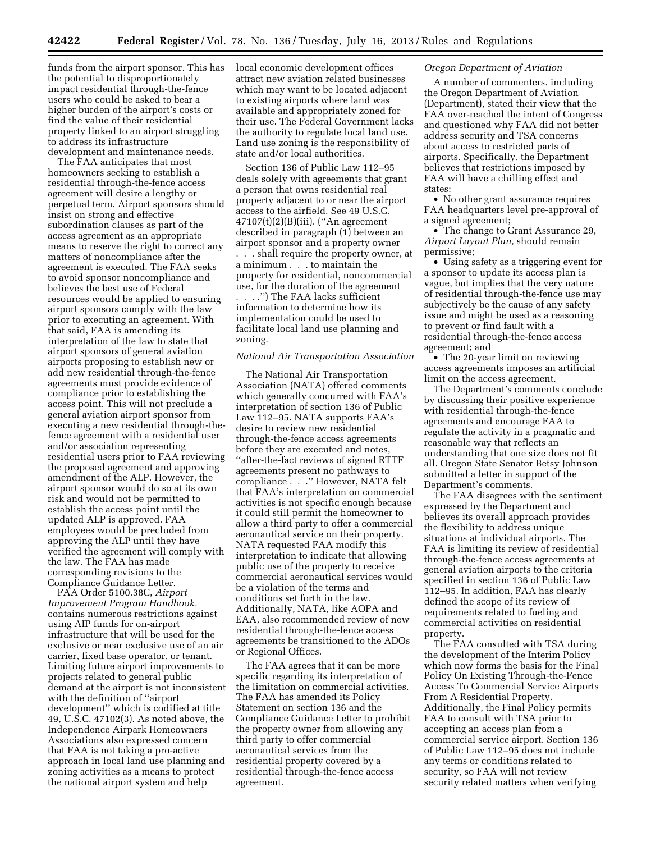funds from the airport sponsor. This has the potential to disproportionately impact residential through-the-fence users who could be asked to bear a higher burden of the airport's costs or find the value of their residential property linked to an airport struggling to address its infrastructure development and maintenance needs.

The FAA anticipates that most homeowners seeking to establish a residential through-the-fence access agreement will desire a lengthy or perpetual term. Airport sponsors should insist on strong and effective subordination clauses as part of the access agreement as an appropriate means to reserve the right to correct any matters of noncompliance after the agreement is executed. The FAA seeks to avoid sponsor noncompliance and believes the best use of Federal resources would be applied to ensuring airport sponsors comply with the law prior to executing an agreement. With that said, FAA is amending its interpretation of the law to state that airport sponsors of general aviation airports proposing to establish new or add new residential through-the-fence agreements must provide evidence of compliance prior to establishing the access point. This will not preclude a general aviation airport sponsor from executing a new residential through-thefence agreement with a residential user and/or association representing residential users prior to FAA reviewing the proposed agreement and approving amendment of the ALP. However, the airport sponsor would do so at its own risk and would not be permitted to establish the access point until the updated ALP is approved. FAA employees would be precluded from approving the ALP until they have verified the agreement will comply with the law. The FAA has made corresponding revisions to the Compliance Guidance Letter.

FAA Order 5100.38C, *Airport Improvement Program Handbook,*  contains numerous restrictions against using AIP funds for on-airport infrastructure that will be used for the exclusive or near exclusive use of an air carrier, fixed base operator, or tenant. Limiting future airport improvements to projects related to general public demand at the airport is not inconsistent with the definition of ''airport development'' which is codified at title 49, U.S.C. 47102(3). As noted above, the Independence Airpark Homeowners Associations also expressed concern that FAA is not taking a pro-active approach in local land use planning and zoning activities as a means to protect the national airport system and help

local economic development offices attract new aviation related businesses which may want to be located adjacent to existing airports where land was available and appropriately zoned for their use. The Federal Government lacks the authority to regulate local land use. Land use zoning is the responsibility of state and/or local authorities.

Section 136 of Public Law 112–95 deals solely with agreements that grant a person that owns residential real property adjacent to or near the airport access to the airfield. See 49 U.S.C. 47107(t)(2)(B)(iii). (''An agreement described in paragraph (1) between an airport sponsor and a property owner . . . shall require the property owner, at a minimum . . . to maintain the property for residential, noncommercial use, for the duration of the agreement . . . .'') The FAA lacks sufficient information to determine how its implementation could be used to

facilitate local land use planning and zoning.

### *National Air Transportation Association*

The National Air Transportation Association (NATA) offered comments which generally concurred with FAA's interpretation of section 136 of Public Law 112–95. NATA supports FAA's desire to review new residential through-the-fence access agreements before they are executed and notes, ''after-the-fact reviews of signed RTTF agreements present no pathways to compliance . . .'' However, NATA felt that FAA's interpretation on commercial activities is not specific enough because it could still permit the homeowner to allow a third party to offer a commercial aeronautical service on their property. NATA requested FAA modify this interpretation to indicate that allowing public use of the property to receive commercial aeronautical services would be a violation of the terms and conditions set forth in the law. Additionally, NATA, like AOPA and EAA, also recommended review of new residential through-the-fence access agreements be transitioned to the ADOs or Regional Offices.

The FAA agrees that it can be more specific regarding its interpretation of the limitation on commercial activities. The FAA has amended its Policy Statement on section 136 and the Compliance Guidance Letter to prohibit the property owner from allowing any third party to offer commercial aeronautical services from the residential property covered by a residential through-the-fence access agreement.

### *Oregon Department of Aviation*

A number of commenters, including the Oregon Department of Aviation (Department), stated their view that the FAA over-reached the intent of Congress and questioned why FAA did not better address security and TSA concerns about access to restricted parts of airports. Specifically, the Department believes that restrictions imposed by FAA will have a chilling effect and states:

• No other grant assurance requires FAA headquarters level pre-approval of a signed agreement;

• The change to Grant Assurance 29, *Airport Layout Plan,* should remain permissive;

• Using safety as a triggering event for a sponsor to update its access plan is vague, but implies that the very nature of residential through-the-fence use may subjectively be the cause of any safety issue and might be used as a reasoning to prevent or find fault with a residential through-the-fence access agreement; and

• The 20-year limit on reviewing access agreements imposes an artificial limit on the access agreement.

The Department's comments conclude by discussing their positive experience with residential through-the-fence agreements and encourage FAA to regulate the activity in a pragmatic and reasonable way that reflects an understanding that one size does not fit all. Oregon State Senator Betsy Johnson submitted a letter in support of the Department's comments.

The FAA disagrees with the sentiment expressed by the Department and believes its overall approach provides the flexibility to address unique situations at individual airports. The FAA is limiting its review of residential through-the-fence access agreements at general aviation airports to the criteria specified in section 136 of Public Law 112–95. In addition, FAA has clearly defined the scope of its review of requirements related to fueling and commercial activities on residential property.

The FAA consulted with TSA during the development of the Interim Policy which now forms the basis for the Final Policy On Existing Through-the-Fence Access To Commercial Service Airports From A Residential Property. Additionally, the Final Policy permits FAA to consult with TSA prior to accepting an access plan from a commercial service airport. Section 136 of Public Law 112–95 does not include any terms or conditions related to security, so FAA will not review security related matters when verifying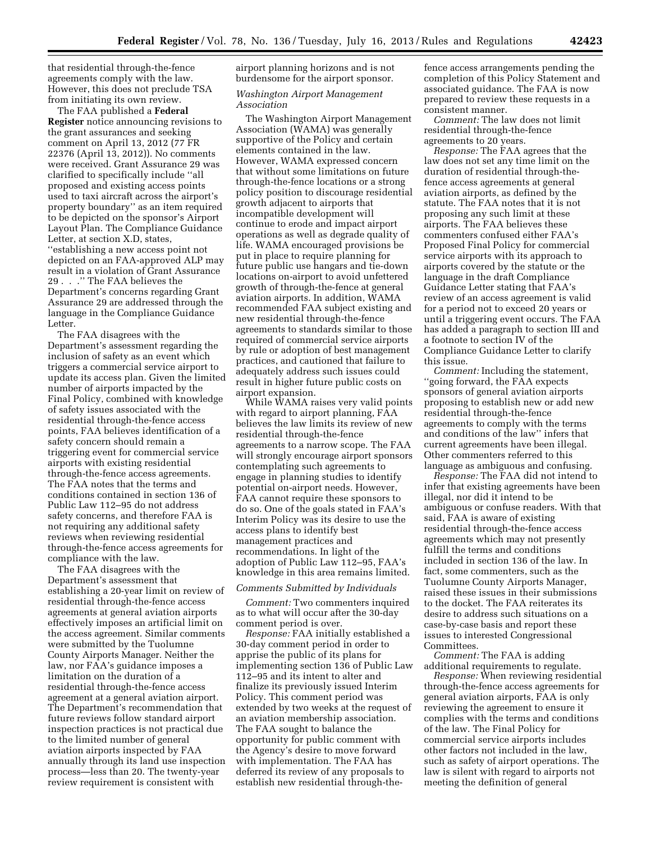that residential through-the-fence agreements comply with the law. However, this does not preclude TSA from initiating its own review.

The FAA published a **Federal Register** notice announcing revisions to the grant assurances and seeking comment on April 13, 2012 (77 FR 22376 (April 13, 2012)). No comments were received. Grant Assurance 29 was clarified to specifically include ''all proposed and existing access points used to taxi aircraft across the airport's property boundary'' as an item required to be depicted on the sponsor's Airport Layout Plan. The Compliance Guidance Letter, at section X.D, states, ''establishing a new access point not depicted on an FAA-approved ALP may result in a violation of Grant Assurance 29 . . .'' The FAA believes the Department's concerns regarding Grant Assurance 29 are addressed through the language in the Compliance Guidance Letter.

The FAA disagrees with the Department's assessment regarding the inclusion of safety as an event which triggers a commercial service airport to update its access plan. Given the limited number of airports impacted by the Final Policy, combined with knowledge of safety issues associated with the residential through-the-fence access points, FAA believes identification of a safety concern should remain a triggering event for commercial service airports with existing residential through-the-fence access agreements. The FAA notes that the terms and conditions contained in section 136 of Public Law 112–95 do not address safety concerns, and therefore FAA is not requiring any additional safety reviews when reviewing residential through-the-fence access agreements for compliance with the law.

The FAA disagrees with the Department's assessment that establishing a 20-year limit on review of residential through-the-fence access agreements at general aviation airports effectively imposes an artificial limit on the access agreement. Similar comments were submitted by the Tuolumne County Airports Manager. Neither the law, nor FAA's guidance imposes a limitation on the duration of a residential through-the-fence access agreement at a general aviation airport. The Department's recommendation that future reviews follow standard airport inspection practices is not practical due to the limited number of general aviation airports inspected by FAA annually through its land use inspection process—less than 20. The twenty-year review requirement is consistent with

airport planning horizons and is not burdensome for the airport sponsor.

### *Washington Airport Management Association*

The Washington Airport Management Association (WAMA) was generally supportive of the Policy and certain elements contained in the law. However, WAMA expressed concern that without some limitations on future through-the-fence locations or a strong policy position to discourage residential growth adjacent to airports that incompatible development will continue to erode and impact airport operations as well as degrade quality of life. WAMA encouraged provisions be put in place to require planning for future public use hangars and tie-down locations on-airport to avoid unfettered growth of through-the-fence at general aviation airports. In addition, WAMA recommended FAA subject existing and new residential through-the-fence agreements to standards similar to those required of commercial service airports by rule or adoption of best management practices, and cautioned that failure to adequately address such issues could result in higher future public costs on airport expansion.

While WAMA raises very valid points with regard to airport planning, FAA believes the law limits its review of new residential through-the-fence agreements to a narrow scope. The FAA will strongly encourage airport sponsors contemplating such agreements to engage in planning studies to identify potential on-airport needs. However, FAA cannot require these sponsors to do so. One of the goals stated in FAA's Interim Policy was its desire to use the access plans to identify best management practices and recommendations. In light of the adoption of Public Law 112–95, FAA's knowledge in this area remains limited.

### *Comments Submitted by Individuals*

*Comment:* Two commenters inquired as to what will occur after the 30-day comment period is over.

*Response:* FAA initially established a 30-day comment period in order to apprise the public of its plans for implementing section 136 of Public Law 112–95 and its intent to alter and finalize its previously issued Interim Policy. This comment period was extended by two weeks at the request of an aviation membership association. The FAA sought to balance the opportunity for public comment with the Agency's desire to move forward with implementation. The FAA has deferred its review of any proposals to establish new residential through-thefence access arrangements pending the completion of this Policy Statement and associated guidance. The FAA is now prepared to review these requests in a consistent manner.

*Comment:* The law does not limit residential through-the-fence agreements to 20 years.

*Response:* The FAA agrees that the law does not set any time limit on the duration of residential through-thefence access agreements at general aviation airports, as defined by the statute. The FAA notes that it is not proposing any such limit at these airports. The FAA believes these commenters confused either FAA's Proposed Final Policy for commercial service airports with its approach to airports covered by the statute or the language in the draft Compliance Guidance Letter stating that FAA's review of an access agreement is valid for a period not to exceed 20 years or until a triggering event occurs. The FAA has added a paragraph to section III and a footnote to section IV of the Compliance Guidance Letter to clarify this issue.

*Comment:* Including the statement, 'going forward, the FAA expects sponsors of general aviation airports proposing to establish new or add new residential through-the-fence agreements to comply with the terms and conditions of the law'' infers that current agreements have been illegal. Other commenters referred to this language as ambiguous and confusing.

*Response:* The FAA did not intend to infer that existing agreements have been illegal, nor did it intend to be ambiguous or confuse readers. With that said, FAA is aware of existing residential through-the-fence access agreements which may not presently fulfill the terms and conditions included in section 136 of the law. In fact, some commenters, such as the Tuolumne County Airports Manager, raised these issues in their submissions to the docket. The FAA reiterates its desire to address such situations on a case-by-case basis and report these issues to interested Congressional Committees.

*Comment:* The FAA is adding additional requirements to regulate.

*Response:* When reviewing residential through-the-fence access agreements for general aviation airports, FAA is only reviewing the agreement to ensure it complies with the terms and conditions of the law. The Final Policy for commercial service airports includes other factors not included in the law, such as safety of airport operations. The law is silent with regard to airports not meeting the definition of general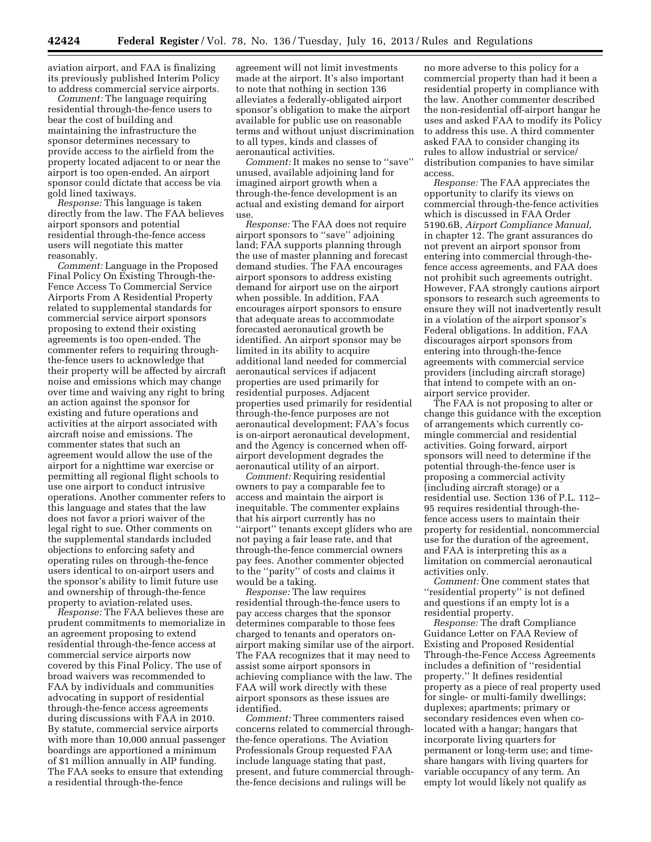aviation airport, and FAA is finalizing its previously published Interim Policy to address commercial service airports.

*Comment:* The language requiring residential through-the-fence users to bear the cost of building and maintaining the infrastructure the sponsor determines necessary to provide access to the airfield from the property located adjacent to or near the airport is too open-ended. An airport sponsor could dictate that access be via gold lined taxiways.

*Response:* This language is taken directly from the law. The FAA believes airport sponsors and potential residential through-the-fence access users will negotiate this matter reasonably.

*Comment:* Language in the Proposed Final Policy On Existing Through-the-Fence Access To Commercial Service Airports From A Residential Property related to supplemental standards for commercial service airport sponsors proposing to extend their existing agreements is too open-ended. The commenter refers to requiring throughthe-fence users to acknowledge that their property will be affected by aircraft noise and emissions which may change over time and waiving any right to bring an action against the sponsor for existing and future operations and activities at the airport associated with aircraft noise and emissions. The commenter states that such an agreement would allow the use of the airport for a nighttime war exercise or permitting all regional flight schools to use one airport to conduct intrusive operations. Another commenter refers to this language and states that the law does not favor a priori waiver of the legal right to sue. Other comments on the supplemental standards included objections to enforcing safety and operating rules on through-the-fence users identical to on-airport users and the sponsor's ability to limit future use and ownership of through-the-fence property to aviation-related uses.

*Response:* The FAA believes these are prudent commitments to memorialize in an agreement proposing to extend residential through-the-fence access at commercial service airports now covered by this Final Policy. The use of broad waivers was recommended to FAA by individuals and communities advocating in support of residential through-the-fence access agreements during discussions with FAA in 2010. By statute, commercial service airports with more than 10,000 annual passenger boardings are apportioned a minimum of \$1 million annually in AIP funding. The FAA seeks to ensure that extending a residential through-the-fence

agreement will not limit investments made at the airport. It's also important to note that nothing in section 136 alleviates a federally-obligated airport sponsor's obligation to make the airport available for public use on reasonable terms and without unjust discrimination to all types, kinds and classes of aeronautical activities.

*Comment:* It makes no sense to ''save'' unused, available adjoining land for imagined airport growth when a through-the-fence development is an actual and existing demand for airport use.

*Response:* The FAA does not require airport sponsors to ''save'' adjoining land; FAA supports planning through the use of master planning and forecast demand studies. The FAA encourages airport sponsors to address existing demand for airport use on the airport when possible. In addition, FAA encourages airport sponsors to ensure that adequate areas to accommodate forecasted aeronautical growth be identified. An airport sponsor may be limited in its ability to acquire additional land needed for commercial aeronautical services if adjacent properties are used primarily for residential purposes. Adjacent properties used primarily for residential through-the-fence purposes are not aeronautical development; FAA's focus is on-airport aeronautical development, and the Agency is concerned when offairport development degrades the aeronautical utility of an airport.

*Comment:* Requiring residential owners to pay a comparable fee to access and maintain the airport is inequitable. The commenter explains that his airport currently has no ''airport'' tenants except gliders who are not paying a fair lease rate, and that through-the-fence commercial owners pay fees. Another commenter objected to the ''parity'' of costs and claims it would be a taking.

*Response:* The law requires residential through-the-fence users to pay access charges that the sponsor determines comparable to those fees charged to tenants and operators onairport making similar use of the airport. The FAA recognizes that it may need to assist some airport sponsors in achieving compliance with the law. The FAA will work directly with these airport sponsors as these issues are identified.

*Comment:* Three commenters raised concerns related to commercial throughthe-fence operations. The Aviation Professionals Group requested FAA include language stating that past, present, and future commercial throughthe-fence decisions and rulings will be

no more adverse to this policy for a commercial property than had it been a residential property in compliance with the law. Another commenter described the non-residential off-airport hangar he uses and asked FAA to modify its Policy to address this use. A third commenter asked FAA to consider changing its rules to allow industrial or service/ distribution companies to have similar access.

*Response:* The FAA appreciates the opportunity to clarify its views on commercial through-the-fence activities which is discussed in FAA Order 5190.6B, *Airport Compliance Manual,*  in chapter 12. The grant assurances do not prevent an airport sponsor from entering into commercial through-thefence access agreements, and FAA does not prohibit such agreements outright. However, FAA strongly cautions airport sponsors to research such agreements to ensure they will not inadvertently result in a violation of the airport sponsor's Federal obligations. In addition, FAA discourages airport sponsors from entering into through-the-fence agreements with commercial service providers (including aircraft storage) that intend to compete with an onairport service provider.

The FAA is not proposing to alter or change this guidance with the exception of arrangements which currently comingle commercial and residential activities. Going forward, airport sponsors will need to determine if the potential through-the-fence user is proposing a commercial activity (including aircraft storage) or a residential use. Section 136 of P.L. 112– 95 requires residential through-thefence access users to maintain their property for residential, noncommercial use for the duration of the agreement, and FAA is interpreting this as a limitation on commercial aeronautical activities only.

*Comment:* One comment states that ''residential property'' is not defined and questions if an empty lot is a residential property.

*Response:* The draft Compliance Guidance Letter on FAA Review of Existing and Proposed Residential Through-the-Fence Access Agreements includes a definition of ''residential property.'' It defines residential property as a piece of real property used for single- or multi-family dwellings; duplexes; apartments; primary or secondary residences even when colocated with a hangar; hangars that incorporate living quarters for permanent or long-term use; and timeshare hangars with living quarters for variable occupancy of any term. An empty lot would likely not qualify as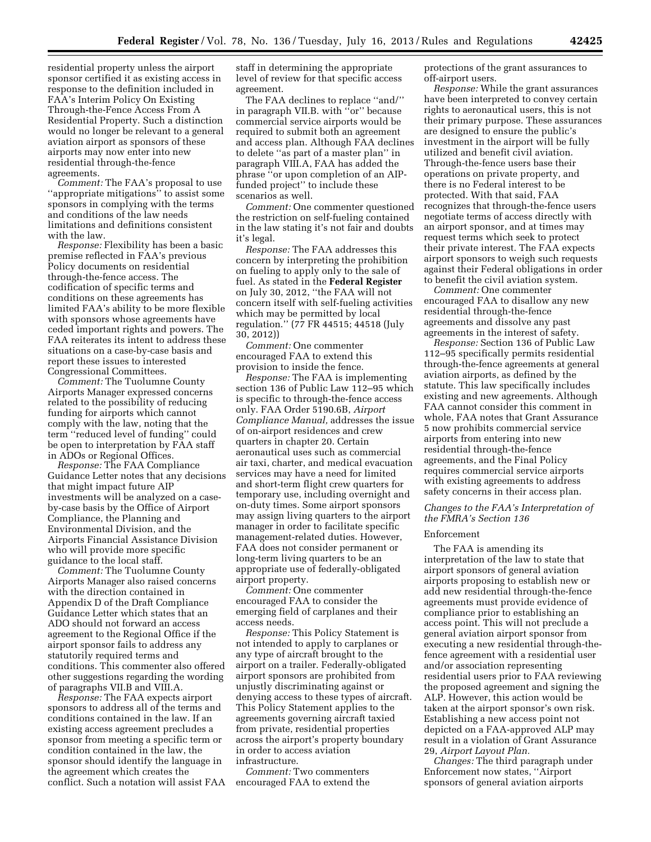residential property unless the airport sponsor certified it as existing access in response to the definition included in FAA's Interim Policy On Existing Through-the-Fence Access From A Residential Property. Such a distinction would no longer be relevant to a general aviation airport as sponsors of these airports may now enter into new residential through-the-fence agreements.

*Comment:* The FAA's proposal to use ''appropriate mitigations'' to assist some sponsors in complying with the terms and conditions of the law needs limitations and definitions consistent with the law.

*Response:* Flexibility has been a basic premise reflected in FAA's previous Policy documents on residential through-the-fence access. The codification of specific terms and conditions on these agreements has limited FAA's ability to be more flexible with sponsors whose agreements have ceded important rights and powers. The FAA reiterates its intent to address these situations on a case-by-case basis and report these issues to interested Congressional Committees.

*Comment:* The Tuolumne County Airports Manager expressed concerns related to the possibility of reducing funding for airports which cannot comply with the law, noting that the term ''reduced level of funding'' could be open to interpretation by FAA staff in ADOs or Regional Offices.

*Response:* The FAA Compliance Guidance Letter notes that any decisions that might impact future AIP investments will be analyzed on a caseby-case basis by the Office of Airport Compliance, the Planning and Environmental Division, and the Airports Financial Assistance Division who will provide more specific guidance to the local staff.

*Comment:* The Tuolumne County Airports Manager also raised concerns with the direction contained in Appendix D of the Draft Compliance Guidance Letter which states that an ADO should not forward an access agreement to the Regional Office if the airport sponsor fails to address any statutorily required terms and conditions. This commenter also offered other suggestions regarding the wording of paragraphs VII.B and VIII.A.

*Response:* The FAA expects airport sponsors to address all of the terms and conditions contained in the law. If an existing access agreement precludes a sponsor from meeting a specific term or condition contained in the law, the sponsor should identify the language in the agreement which creates the conflict. Such a notation will assist FAA staff in determining the appropriate level of review for that specific access agreement.

The FAA declines to replace ''and/'' in paragraph VII.B. with ''or'' because commercial service airports would be required to submit both an agreement and access plan. Although FAA declines to delete ''as part of a master plan'' in paragraph VIII.A, FAA has added the phrase ''or upon completion of an AIPfunded project'' to include these scenarios as well.

*Comment:* One commenter questioned the restriction on self-fueling contained in the law stating it's not fair and doubts it's legal.

*Response:* The FAA addresses this concern by interpreting the prohibition on fueling to apply only to the sale of fuel. As stated in the **Federal Register**  on July 30, 2012, ''the FAA will not concern itself with self-fueling activities which may be permitted by local regulation.'' (77 FR 44515; 44518 (July 30, 2012))

*Comment:* One commenter encouraged FAA to extend this provision to inside the fence.

*Response:* The FAA is implementing section 136 of Public Law 112–95 which is specific to through-the-fence access only. FAA Order 5190.6B, *Airport Compliance Manual,* addresses the issue of on-airport residences and crew quarters in chapter 20. Certain aeronautical uses such as commercial air taxi, charter, and medical evacuation services may have a need for limited and short-term flight crew quarters for temporary use, including overnight and on-duty times. Some airport sponsors may assign living quarters to the airport manager in order to facilitate specific management-related duties. However, FAA does not consider permanent or long-term living quarters to be an appropriate use of federally-obligated airport property.

*Comment:* One commenter encouraged FAA to consider the emerging field of carplanes and their access needs.

*Response:* This Policy Statement is not intended to apply to carplanes or any type of aircraft brought to the airport on a trailer. Federally-obligated airport sponsors are prohibited from unjustly discriminating against or denying access to these types of aircraft. This Policy Statement applies to the agreements governing aircraft taxied from private, residential properties across the airport's property boundary in order to access aviation infrastructure.

*Comment:* Two commenters encouraged FAA to extend the protections of the grant assurances to off-airport users.

*Response:* While the grant assurances have been interpreted to convey certain rights to aeronautical users, this is not their primary purpose. These assurances are designed to ensure the public's investment in the airport will be fully utilized and benefit civil aviation. Through-the-fence users base their operations on private property, and there is no Federal interest to be protected. With that said, FAA recognizes that through-the-fence users negotiate terms of access directly with an airport sponsor, and at times may request terms which seek to protect their private interest. The FAA expects airport sponsors to weigh such requests against their Federal obligations in order to benefit the civil aviation system.

*Comment:* One commenter encouraged FAA to disallow any new residential through-the-fence agreements and dissolve any past agreements in the interest of safety.

*Response:* Section 136 of Public Law 112–95 specifically permits residential through-the-fence agreements at general aviation airports, as defined by the statute. This law specifically includes existing and new agreements. Although FAA cannot consider this comment in whole, FAA notes that Grant Assurance 5 now prohibits commercial service airports from entering into new residential through-the-fence agreements, and the Final Policy requires commercial service airports with existing agreements to address safety concerns in their access plan.

### *Changes to the FAA's Interpretation of the FMRA's Section 136*

#### Enforcement

The FAA is amending its interpretation of the law to state that airport sponsors of general aviation airports proposing to establish new or add new residential through-the-fence agreements must provide evidence of compliance prior to establishing an access point. This will not preclude a general aviation airport sponsor from executing a new residential through-thefence agreement with a residential user and/or association representing residential users prior to FAA reviewing the proposed agreement and signing the ALP. However, this action would be taken at the airport sponsor's own risk. Establishing a new access point not depicted on a FAA-approved ALP may result in a violation of Grant Assurance 29, *Airport Layout Plan.* 

*Changes:* The third paragraph under Enforcement now states, ''Airport sponsors of general aviation airports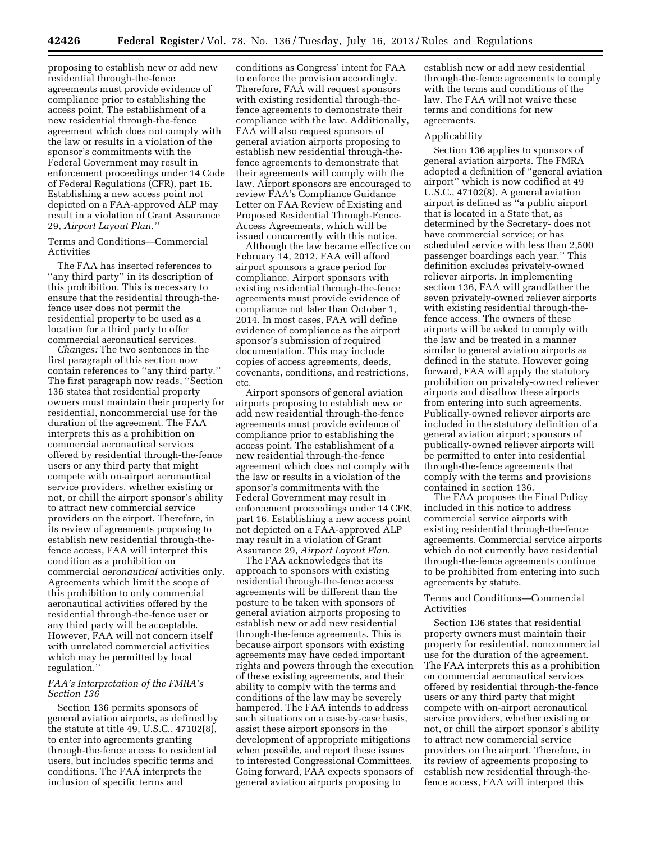proposing to establish new or add new residential through-the-fence agreements must provide evidence of compliance prior to establishing the access point. The establishment of a new residential through-the-fence agreement which does not comply with the law or results in a violation of the sponsor's commitments with the Federal Government may result in enforcement proceedings under 14 Code of Federal Regulations (CFR), part 16. Establishing a new access point not depicted on a FAA-approved ALP may result in a violation of Grant Assurance 29, *Airport Layout Plan.''* 

Terms and Conditions—Commercial Activities

The FAA has inserted references to ''any third party'' in its description of this prohibition. This is necessary to ensure that the residential through-thefence user does not permit the residential property to be used as a location for a third party to offer commercial aeronautical services.

*Changes:* The two sentences in the first paragraph of this section now contain references to ''any third party.'' The first paragraph now reads, ''Section 136 states that residential property owners must maintain their property for residential, noncommercial use for the duration of the agreement. The FAA interprets this as a prohibition on commercial aeronautical services offered by residential through-the-fence users or any third party that might compete with on-airport aeronautical service providers, whether existing or not, or chill the airport sponsor's ability to attract new commercial service providers on the airport. Therefore, in its review of agreements proposing to establish new residential through-thefence access, FAA will interpret this condition as a prohibition on commercial *aeronautical* activities only. Agreements which limit the scope of this prohibition to only commercial aeronautical activities offered by the residential through-the-fence user or any third party will be acceptable. However, FAA will not concern itself with unrelated commercial activities which may be permitted by local regulation.''

### *FAA's Interpretation of the FMRA's Section 136*

Section 136 permits sponsors of general aviation airports, as defined by the statute at title  $49, U.S.C., 47102(8),$ to enter into agreements granting through-the-fence access to residential users, but includes specific terms and conditions. The FAA interprets the inclusion of specific terms and

conditions as Congress' intent for FAA to enforce the provision accordingly. Therefore, FAA will request sponsors with existing residential through-thefence agreements to demonstrate their compliance with the law. Additionally, FAA will also request sponsors of general aviation airports proposing to establish new residential through-thefence agreements to demonstrate that their agreements will comply with the law. Airport sponsors are encouraged to review FAA's Compliance Guidance Letter on FAA Review of Existing and Proposed Residential Through-Fence-Access Agreements, which will be issued concurrently with this notice.

Although the law became effective on February 14, 2012, FAA will afford airport sponsors a grace period for compliance. Airport sponsors with existing residential through-the-fence agreements must provide evidence of compliance not later than October 1, 2014. In most cases, FAA will define evidence of compliance as the airport sponsor's submission of required documentation. This may include copies of access agreements, deeds, covenants, conditions, and restrictions, etc.

Airport sponsors of general aviation airports proposing to establish new or add new residential through-the-fence agreements must provide evidence of compliance prior to establishing the access point. The establishment of a new residential through-the-fence agreement which does not comply with the law or results in a violation of the sponsor's commitments with the Federal Government may result in enforcement proceedings under 14 CFR, part 16. Establishing a new access point not depicted on a FAA-approved ALP may result in a violation of Grant Assurance 29, *Airport Layout Plan.* 

The FAA acknowledges that its approach to sponsors with existing residential through-the-fence access agreements will be different than the posture to be taken with sponsors of general aviation airports proposing to establish new or add new residential through-the-fence agreements. This is because airport sponsors with existing agreements may have ceded important rights and powers through the execution of these existing agreements, and their ability to comply with the terms and conditions of the law may be severely hampered. The FAA intends to address such situations on a case-by-case basis, assist these airport sponsors in the development of appropriate mitigations when possible, and report these issues to interested Congressional Committees. Going forward, FAA expects sponsors of general aviation airports proposing to

establish new or add new residential through-the-fence agreements to comply with the terms and conditions of the law. The FAA will not waive these terms and conditions for new agreements.

#### Applicability

Section 136 applies to sponsors of general aviation airports. The FMRA adopted a definition of ''general aviation airport'' which is now codified at 49 U.S.C., 47102(8). A general aviation airport is defined as ''a public airport that is located in a State that, as determined by the Secretary- does not have commercial service; or has scheduled service with less than 2,500 passenger boardings each year.'' This definition excludes privately-owned reliever airports. In implementing section 136, FAA will grandfather the seven privately-owned reliever airports with existing residential through-thefence access. The owners of these airports will be asked to comply with the law and be treated in a manner similar to general aviation airports as defined in the statute. However going forward, FAA will apply the statutory prohibition on privately-owned reliever airports and disallow these airports from entering into such agreements. Publically-owned reliever airports are included in the statutory definition of a general aviation airport; sponsors of publically-owned reliever airports will be permitted to enter into residential through-the-fence agreements that comply with the terms and provisions contained in section 136.

The FAA proposes the Final Policy included in this notice to address commercial service airports with existing residential through-the-fence agreements. Commercial service airports which do not currently have residential through-the-fence agreements continue to be prohibited from entering into such agreements by statute.

### Terms and Conditions—Commercial Activities

Section 136 states that residential property owners must maintain their property for residential, noncommercial use for the duration of the agreement. The FAA interprets this as a prohibition on commercial aeronautical services offered by residential through-the-fence users or any third party that might compete with on-airport aeronautical service providers, whether existing or not, or chill the airport sponsor's ability to attract new commercial service providers on the airport. Therefore, in its review of agreements proposing to establish new residential through-thefence access, FAA will interpret this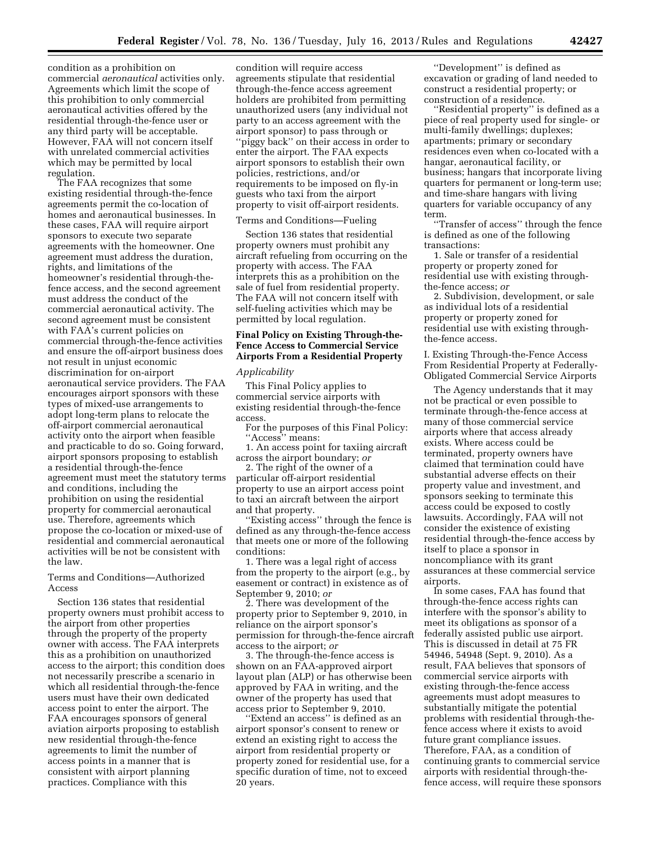condition as a prohibition on commercial *aeronautical* activities only. Agreements which limit the scope of this prohibition to only commercial aeronautical activities offered by the residential through-the-fence user or any third party will be acceptable. However, FAA will not concern itself with unrelated commercial activities which may be permitted by local regulation.

The FAA recognizes that some existing residential through-the-fence agreements permit the co-location of homes and aeronautical businesses. In these cases, FAA will require airport sponsors to execute two separate agreements with the homeowner. One agreement must address the duration, rights, and limitations of the homeowner's residential through-thefence access, and the second agreement must address the conduct of the commercial aeronautical activity. The second agreement must be consistent with FAA's current policies on commercial through-the-fence activities and ensure the off-airport business does not result in unjust economic discrimination for on-airport aeronautical service providers. The FAA encourages airport sponsors with these types of mixed-use arrangements to adopt long-term plans to relocate the off-airport commercial aeronautical activity onto the airport when feasible and practicable to do so. Going forward, airport sponsors proposing to establish a residential through-the-fence agreement must meet the statutory terms and conditions, including the prohibition on using the residential property for commercial aeronautical use. Therefore, agreements which propose the co-location or mixed-use of residential and commercial aeronautical activities will be not be consistent with the law.

### Terms and Conditions—Authorized Access

Section 136 states that residential property owners must prohibit access to the airport from other properties through the property of the property owner with access. The FAA interprets this as a prohibition on unauthorized access to the airport; this condition does not necessarily prescribe a scenario in which all residential through-the-fence users must have their own dedicated access point to enter the airport. The FAA encourages sponsors of general aviation airports proposing to establish new residential through-the-fence agreements to limit the number of access points in a manner that is consistent with airport planning practices. Compliance with this

condition will require access agreements stipulate that residential through-the-fence access agreement holders are prohibited from permitting unauthorized users (any individual not party to an access agreement with the airport sponsor) to pass through or ''piggy back'' on their access in order to enter the airport. The FAA expects airport sponsors to establish their own policies, restrictions, and/or requirements to be imposed on fly-in guests who taxi from the airport property to visit off-airport residents.

### Terms and Conditions—Fueling

Section 136 states that residential property owners must prohibit any aircraft refueling from occurring on the property with access. The FAA interprets this as a prohibition on the sale of fuel from residential property. The FAA will not concern itself with self-fueling activities which may be permitted by local regulation.

### **Final Policy on Existing Through-the-Fence Access to Commercial Service Airports From a Residential Property**

### *Applicability*

This Final Policy applies to commercial service airports with existing residential through-the-fence access.

For the purposes of this Final Policy: "Access" means:

1. An access point for taxiing aircraft across the airport boundary; *or* 

2. The right of the owner of a particular off-airport residential property to use an airport access point to taxi an aircraft between the airport and that property.

'Existing access'' through the fence is defined as any through-the-fence access that meets one or more of the following conditions:

1. There was a legal right of access from the property to the airport (e.g., by easement or contract) in existence as of September 9, 2010; *or* 

2. There was development of the property prior to September 9, 2010, in reliance on the airport sponsor's permission for through-the-fence aircraft access to the airport; *or* 

3. The through-the-fence access is shown on an FAA-approved airport layout plan (ALP) or has otherwise been approved by FAA in writing, and the owner of the property has used that access prior to September 9, 2010.

'Extend an access'' is defined as an airport sponsor's consent to renew or extend an existing right to access the airport from residential property or property zoned for residential use, for a specific duration of time, not to exceed 20 years.

''Development'' is defined as excavation or grading of land needed to construct a residential property; or construction of a residence.

"Residential property" is defined as a piece of real property used for single- or multi-family dwellings; duplexes; apartments; primary or secondary residences even when co-located with a hangar, aeronautical facility, or business; hangars that incorporate living quarters for permanent or long-term use; and time-share hangars with living quarters for variable occupancy of any term.

''Transfer of access'' through the fence is defined as one of the following transactions:

1. Sale or transfer of a residential property or property zoned for residential use with existing throughthe-fence access; *or* 

2. Subdivision, development, or sale as individual lots of a residential property or property zoned for residential use with existing throughthe-fence access.

I. Existing Through-the-Fence Access From Residential Property at Federally-Obligated Commercial Service Airports

The Agency understands that it may not be practical or even possible to terminate through-the-fence access at many of those commercial service airports where that access already exists. Where access could be terminated, property owners have claimed that termination could have substantial adverse effects on their property value and investment, and sponsors seeking to terminate this access could be exposed to costly lawsuits. Accordingly, FAA will not consider the existence of existing residential through-the-fence access by itself to place a sponsor in noncompliance with its grant assurances at these commercial service airports.

In some cases, FAA has found that through-the-fence access rights can interfere with the sponsor's ability to meet its obligations as sponsor of a federally assisted public use airport. This is discussed in detail at 75 FR 54946, 54948 (Sept. 9, 2010). As a result, FAA believes that sponsors of commercial service airports with existing through-the-fence access agreements must adopt measures to substantially mitigate the potential problems with residential through-thefence access where it exists to avoid future grant compliance issues. Therefore, FAA, as a condition of continuing grants to commercial service airports with residential through-thefence access, will require these sponsors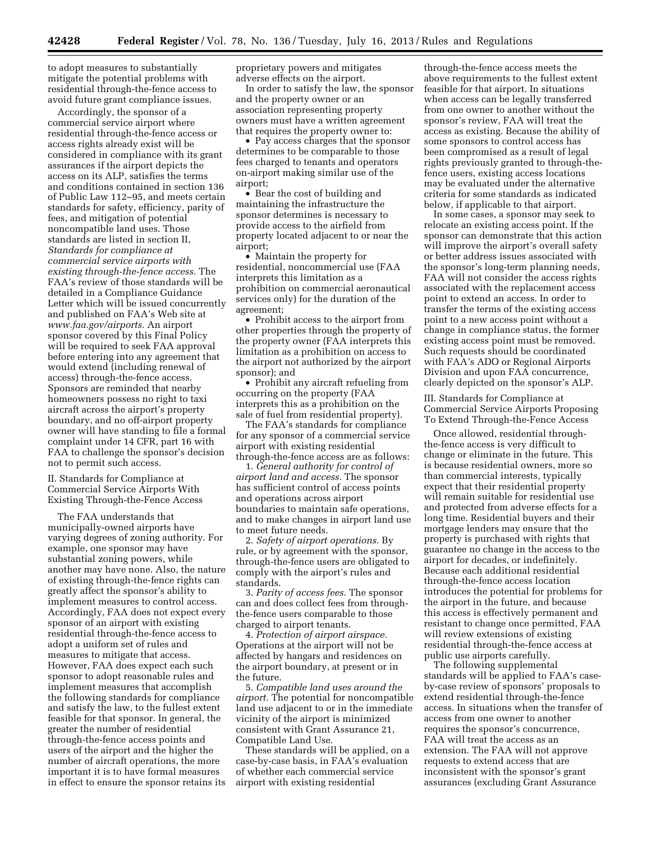to adopt measures to substantially mitigate the potential problems with residential through-the-fence access to avoid future grant compliance issues.

Accordingly, the sponsor of a commercial service airport where residential through-the-fence access or access rights already exist will be considered in compliance with its grant assurances if the airport depicts the access on its ALP, satisfies the terms and conditions contained in section 136 of Public Law 112–95, and meets certain standards for safety, efficiency, parity of fees, and mitigation of potential noncompatible land uses. Those standards are listed in section II, *Standards for compliance at commercial service airports with existing through-the-fence access.* The FAA's review of those standards will be detailed in a Compliance Guidance Letter which will be issued concurrently and published on FAA's Web site at *[www.faa.gov/airports.](http://www.faa.gov/airports)* An airport sponsor covered by this Final Policy will be required to seek FAA approval before entering into any agreement that would extend (including renewal of access) through-the-fence access. Sponsors are reminded that nearby homeowners possess no right to taxi aircraft across the airport's property boundary, and no off-airport property owner will have standing to file a formal complaint under 14 CFR, part 16 with FAA to challenge the sponsor's decision not to permit such access.

II. Standards for Compliance at Commercial Service Airports With Existing Through-the-Fence Access

The FAA understands that municipally-owned airports have varying degrees of zoning authority. For example, one sponsor may have substantial zoning powers, while another may have none. Also, the nature of existing through-the-fence rights can greatly affect the sponsor's ability to implement measures to control access. Accordingly, FAA does not expect every sponsor of an airport with existing residential through-the-fence access to adopt a uniform set of rules and measures to mitigate that access. However, FAA does expect each such sponsor to adopt reasonable rules and implement measures that accomplish the following standards for compliance and satisfy the law, to the fullest extent feasible for that sponsor. In general, the greater the number of residential through-the-fence access points and users of the airport and the higher the number of aircraft operations, the more important it is to have formal measures in effect to ensure the sponsor retains its

proprietary powers and mitigates adverse effects on the airport.

In order to satisfy the law, the sponsor and the property owner or an association representing property owners must have a written agreement that requires the property owner to:

• Pay access charges that the sponsor determines to be comparable to those fees charged to tenants and operators on-airport making similar use of the airport;

• Bear the cost of building and maintaining the infrastructure the sponsor determines is necessary to provide access to the airfield from property located adjacent to or near the airport;

• Maintain the property for residential, noncommercial use (FAA interprets this limitation as a prohibition on commercial aeronautical services only) for the duration of the agreement;

• Prohibit access to the airport from other properties through the property of the property owner (FAA interprets this limitation as a prohibition on access to the airport not authorized by the airport sponsor); and

• Prohibit any aircraft refueling from occurring on the property (FAA interprets this as a prohibition on the sale of fuel from residential property).

The FAA's standards for compliance for any sponsor of a commercial service airport with existing residential through-the-fence access are as follows:

1. *General authority for control of airport land and access.* The sponsor has sufficient control of access points and operations across airport boundaries to maintain safe operations, and to make changes in airport land use to meet future needs.

2. *Safety of airport operations.* By rule, or by agreement with the sponsor, through-the-fence users are obligated to comply with the airport's rules and standards.

3. *Parity of access fees.* The sponsor can and does collect fees from throughthe-fence users comparable to those charged to airport tenants.

4. *Protection of airport airspace.*  Operations at the airport will not be affected by hangars and residences on the airport boundary, at present or in the future.

5. *Compatible land uses around the airport.* The potential for noncompatible land use adjacent to or in the immediate vicinity of the airport is minimized consistent with Grant Assurance 21, Compatible Land Use.

These standards will be applied, on a case-by-case basis, in FAA's evaluation of whether each commercial service airport with existing residential

through-the-fence access meets the above requirements to the fullest extent feasible for that airport. In situations when access can be legally transferred from one owner to another without the sponsor's review, FAA will treat the access as existing. Because the ability of some sponsors to control access has been compromised as a result of legal rights previously granted to through-thefence users, existing access locations may be evaluated under the alternative criteria for some standards as indicated below, if applicable to that airport.

In some cases, a sponsor may seek to relocate an existing access point. If the sponsor can demonstrate that this action will improve the airport's overall safety or better address issues associated with the sponsor's long-term planning needs, FAA will not consider the access rights associated with the replacement access point to extend an access. In order to transfer the terms of the existing access point to a new access point without a change in compliance status, the former existing access point must be removed. Such requests should be coordinated with FAA's ADO or Regional Airports Division and upon FAA concurrence, clearly depicted on the sponsor's ALP.

III. Standards for Compliance at Commercial Service Airports Proposing To Extend Through-the-Fence Access

Once allowed, residential throughthe-fence access is very difficult to change or eliminate in the future. This is because residential owners, more so than commercial interests, typically expect that their residential property will remain suitable for residential use and protected from adverse effects for a long time. Residential buyers and their mortgage lenders may ensure that the property is purchased with rights that guarantee no change in the access to the airport for decades, or indefinitely. Because each additional residential through-the-fence access location introduces the potential for problems for the airport in the future, and because this access is effectively permanent and resistant to change once permitted, FAA will review extensions of existing residential through-the-fence access at public use airports carefully.

The following supplemental standards will be applied to FAA's caseby-case review of sponsors' proposals to extend residential through-the-fence access. In situations when the transfer of access from one owner to another requires the sponsor's concurrence, FAA will treat the access as an extension. The FAA will not approve requests to extend access that are inconsistent with the sponsor's grant assurances (excluding Grant Assurance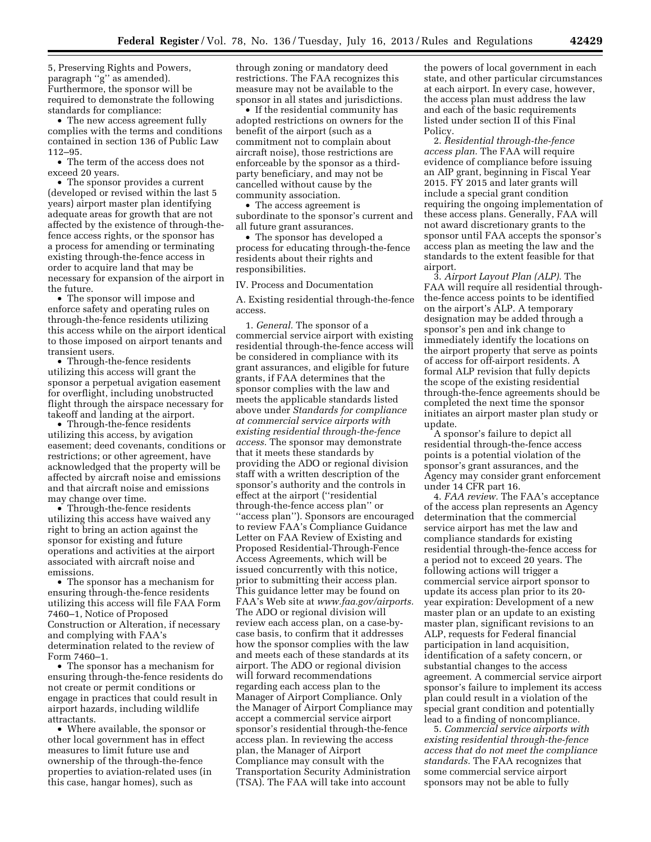5, Preserving Rights and Powers, paragraph ''g'' as amended). Furthermore, the sponsor will be required to demonstrate the following standards for compliance:

• The new access agreement fully complies with the terms and conditions contained in section 136 of Public Law 112–95.

• The term of the access does not exceed 20 years.

• The sponsor provides a current (developed or revised within the last 5 years) airport master plan identifying adequate areas for growth that are not affected by the existence of through-thefence access rights, or the sponsor has a process for amending or terminating existing through-the-fence access in order to acquire land that may be necessary for expansion of the airport in the future.

• The sponsor will impose and enforce safety and operating rules on through-the-fence residents utilizing this access while on the airport identical to those imposed on airport tenants and transient users.

• Through-the-fence residents utilizing this access will grant the sponsor a perpetual avigation easement for overflight, including unobstructed flight through the airspace necessary for takeoff and landing at the airport.

• Through-the-fence residents utilizing this access, by avigation easement; deed covenants, conditions or restrictions; or other agreement, have acknowledged that the property will be affected by aircraft noise and emissions and that aircraft noise and emissions may change over time.

• Through-the-fence residents utilizing this access have waived any right to bring an action against the sponsor for existing and future operations and activities at the airport associated with aircraft noise and emissions.

• The sponsor has a mechanism for ensuring through-the-fence residents utilizing this access will file FAA Form 7460–1, Notice of Proposed Construction or Alteration, if necessary and complying with FAA's determination related to the review of Form 7460–1.

• The sponsor has a mechanism for ensuring through-the-fence residents do not create or permit conditions or engage in practices that could result in airport hazards, including wildlife attractants.

• Where available, the sponsor or other local government has in effect measures to limit future use and ownership of the through-the-fence properties to aviation-related uses (in this case, hangar homes), such as

through zoning or mandatory deed restrictions. The FAA recognizes this measure may not be available to the sponsor in all states and jurisdictions.

• If the residential community has adopted restrictions on owners for the benefit of the airport (such as a commitment not to complain about aircraft noise), those restrictions are enforceable by the sponsor as a thirdparty beneficiary, and may not be cancelled without cause by the community association.

• The access agreement is subordinate to the sponsor's current and all future grant assurances.

• The sponsor has developed a process for educating through-the-fence residents about their rights and responsibilities.

### IV. Process and Documentation

A. Existing residential through-the-fence access.

1. *General.* The sponsor of a commercial service airport with existing residential through-the-fence access will be considered in compliance with its grant assurances, and eligible for future grants, if FAA determines that the sponsor complies with the law and meets the applicable standards listed above under *Standards for compliance at commercial service airports with existing residential through-the-fence access.* The sponsor may demonstrate that it meets these standards by providing the ADO or regional division staff with a written description of the sponsor's authority and the controls in effect at the airport (''residential through-the-fence access plan'' or ''access plan''). Sponsors are encouraged to review FAA's Compliance Guidance Letter on FAA Review of Existing and Proposed Residential-Through-Fence Access Agreements, which will be issued concurrently with this notice, prior to submitting their access plan. This guidance letter may be found on FAA's Web site at *[www.faa.gov/airports.](http://www.faa.gov/airports)*  The ADO or regional division will review each access plan, on a case-bycase basis, to confirm that it addresses how the sponsor complies with the law and meets each of these standards at its airport. The ADO or regional division will forward recommendations regarding each access plan to the Manager of Airport Compliance. Only the Manager of Airport Compliance may accept a commercial service airport sponsor's residential through-the-fence access plan. In reviewing the access plan, the Manager of Airport Compliance may consult with the Transportation Security Administration (TSA). The FAA will take into account

the powers of local government in each state, and other particular circumstances at each airport. In every case, however, the access plan must address the law and each of the basic requirements listed under section II of this Final Policy.

2. *Residential through-the-fence access plan.* The FAA will require evidence of compliance before issuing an AIP grant, beginning in Fiscal Year 2015. FY 2015 and later grants will include a special grant condition requiring the ongoing implementation of these access plans. Generally, FAA will not award discretionary grants to the sponsor until FAA accepts the sponsor's access plan as meeting the law and the standards to the extent feasible for that airport.

3. *Airport Layout Plan (ALP).* The FAA will require all residential throughthe-fence access points to be identified on the airport's ALP. A temporary designation may be added through a sponsor's pen and ink change to immediately identify the locations on the airport property that serve as points of access for off-airport residents. A formal ALP revision that fully depicts the scope of the existing residential through-the-fence agreements should be completed the next time the sponsor initiates an airport master plan study or update.

A sponsor's failure to depict all residential through-the-fence access points is a potential violation of the sponsor's grant assurances, and the Agency may consider grant enforcement under 14 CFR part 16.

4. *FAA review.* The FAA's acceptance of the access plan represents an Agency determination that the commercial service airport has met the law and compliance standards for existing residential through-the-fence access for a period not to exceed 20 years. The following actions will trigger a commercial service airport sponsor to update its access plan prior to its 20 year expiration: Development of a new master plan or an update to an existing master plan, significant revisions to an ALP, requests for Federal financial participation in land acquisition, identification of a safety concern, or substantial changes to the access agreement. A commercial service airport sponsor's failure to implement its access plan could result in a violation of the special grant condition and potentially lead to a finding of noncompliance.

5. *Commercial service airports with existing residential through-the-fence access that do not meet the compliance standards.* The FAA recognizes that some commercial service airport sponsors may not be able to fully